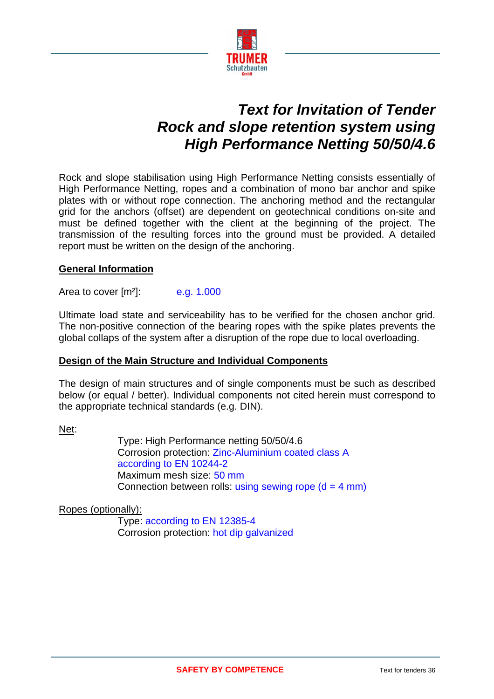

# *Text for Invitation of Tender Rock and slope retention system using High Performance Netting 50/50/4.6*

Rock and slope stabilisation using High Performance Netting consists essentially of High Performance Netting, ropes and a combination of mono bar anchor and spike plates with or without rope connection. The anchoring method and the rectangular grid for the anchors (offset) are dependent on geotechnical conditions on-site and must be defined together with the client at the beginning of the project. The transmission of the resulting forces into the ground must be provided. A detailed report must be written on the design of the anchoring.

## **General Information**

Area to cover  $[m^2]$ : e.g. 1.000

Ultimate load state and serviceability has to be verified for the chosen anchor grid. The non-positive connection of the bearing ropes with the spike plates prevents the global collaps of the system after a disruption of the rope due to local overloading.

## **Design of the Main Structure and Individual Components**

The design of main structures and of single components must be such as described below (or equal / better). Individual components not cited herein must correspond to the appropriate technical standards (e.g. DIN).

Net:

Type: High Performance netting 50/50/4.6 Corrosion protection: Zinc-Aluminium coated class A according to EN 10244-2 Maximum mesh size: 50 mm Connection between rolls: using sewing rope  $(d = 4$  mm)

Ropes (optionally):

Type: according to EN 12385-4 Corrosion protection: hot dip galvanized